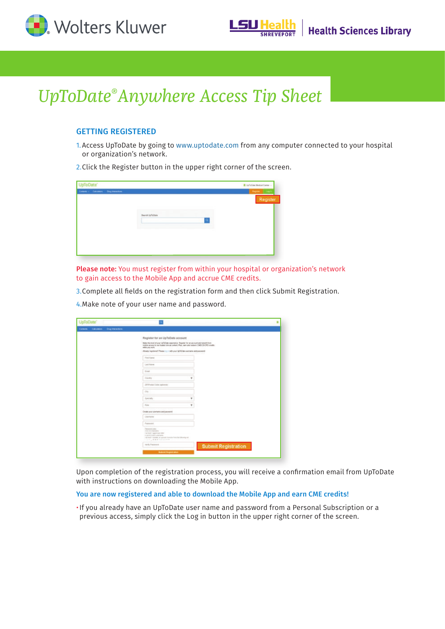



# *UpToDate® Anywhere Access Tip Sheet*

## GETTING REGISTERED

- 1. Access UpToDate by going to www.uptodate.com from any computer connected to your hospital or organization's network.
- 2.Click the Register button in the upper right corner of the screen.

| UpToDate"                                | <b>B</b> UpToDate Medical Center -                                                                                                                                                                                                   |
|------------------------------------------|--------------------------------------------------------------------------------------------------------------------------------------------------------------------------------------------------------------------------------------|
| Contents - Calculators Drug Interestions | <u>and the state of the state of the state of the state of the state of the state of the state of the state of the state of the state of the state of the state of the state of the state of the state of the state of the state</u> |
| Search Up To Date                        | Register                                                                                                                                                                                                                             |

Please note: You must register from within your hospital or organization's network to gain access to the Mobile App and accrue CME credits.

3.Complete all fields on the registration form and then click Submit Registration.

4.Make note of your user name and password.

| UpToDate'                                          |                                                                                                                                                                                                                                                                                                                      |                            |  |
|----------------------------------------------------|----------------------------------------------------------------------------------------------------------------------------------------------------------------------------------------------------------------------------------------------------------------------------------------------------------------------|----------------------------|--|
| <b>Cing Interestors</b><br>Contents<br>Calculators |                                                                                                                                                                                                                                                                                                                      |                            |  |
|                                                    | Register for an UpToDate account<br>Make the most of your LEFADate experience. Register for an account and benefit from<br>mobile accepts to the trusted closed content. Plus, warn and redeem CMDCE/CPD credits<br>rehalas primi entrih.<br>Abooty registered Please 111 - with your OpToDate spentane and password |                            |  |
|                                                    | First Name                                                                                                                                                                                                                                                                                                           |                            |  |
|                                                    | Lest Name<br><b>Engli</b>                                                                                                                                                                                                                                                                                            |                            |  |
|                                                    | Country<br>۷                                                                                                                                                                                                                                                                                                         |                            |  |
|                                                    | ZP-Findal Code (aphova)                                                                                                                                                                                                                                                                                              |                            |  |
|                                                    | City<br>.tuestaty<br>۷                                                                                                                                                                                                                                                                                               |                            |  |
|                                                    | <b>Tube</b><br>$\pi$                                                                                                                                                                                                                                                                                                 |                            |  |
|                                                    | Create your unemanns and payment<br>Lisamana                                                                                                                                                                                                                                                                         |                            |  |
|                                                    | Password                                                                                                                                                                                                                                                                                                             |                            |  |
|                                                    | Terment.com<br><b>A D St. Die of April Bard.</b><br>I at least T appreciate letter<br>TERRITORIO ANNIVERA<br>· at least 1 member, or specual character franchis following cel-<br>1000人 新着教育者 おおお                                                                                                                    |                            |  |
|                                                    | Volly Patewert                                                                                                                                                                                                                                                                                                       | <b>Submit Registration</b> |  |
|                                                    | Submit Registration                                                                                                                                                                                                                                                                                                  |                            |  |

Upon completion of the registration process, you will receive a confirmation email from UpToDate with instructions on downloading the Mobile App.

#### You are now registered and able to download the Mobile App and earn CME credits!

•If you already have an UpToDate user name and password from a Personal Subscription or a previous access, simply click the Log in button in the upper right corner of the screen.